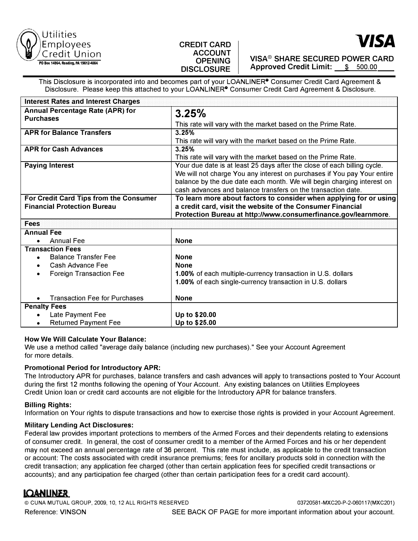

# **CREDIT CARD ACCOUNT OPENING DISCLOSURE**



**VISA® SHARE SECURED POWER CARD Approved Credit Limit:** \$ 500.00

This Disclosure is incorporated into and becomes part of your LOANLINER<sup>®</sup> Consumer Credit Card Agreement & Disclosure. Please keep this attached to your LOANLINER<sup>®</sup> Consumer Credit Card Agreement & Disclosure.

| <b>Interest Rates and Interest Charges</b>  |                                                                          |
|---------------------------------------------|--------------------------------------------------------------------------|
| <b>Annual Percentage Rate (APR) for</b>     | 3.25%                                                                    |
| <b>Purchases</b>                            | This rate will vary with the market based on the Prime Rate.             |
| <b>APR for Balance Transfers</b>            | 3.25%                                                                    |
|                                             | This rate will vary with the market based on the Prime Rate.             |
| <b>APR for Cash Advances</b>                | 3.25%                                                                    |
|                                             | This rate will vary with the market based on the Prime Rate.             |
| <b>Paying Interest</b>                      | Your due date is at least 25 days after the close of each billing cycle. |
|                                             | We will not charge You any interest on purchases if You pay Your entire  |
|                                             | balance by the due date each month. We will begin charging interest on   |
|                                             | cash advances and balance transfers on the transaction date.             |
| For Credit Card Tips from the Consumer      | To learn more about factors to consider when applying for or using       |
| <b>Financial Protection Bureau</b>          | a credit card, visit the website of the Consumer Financial               |
|                                             | Protection Bureau at http://www.consumerfinance.gov/learnmore.           |
| <b>Fees</b>                                 |                                                                          |
| <b>Annual Fee</b>                           |                                                                          |
| <b>Annual Fee</b><br>$\bullet$              | <b>None</b>                                                              |
| <b>Transaction Fees</b>                     |                                                                          |
| <b>Balance Transfer Fee</b><br>$\bullet$    | <b>None</b>                                                              |
| Cash Advance Fee<br>$\bullet$               | <b>None</b>                                                              |
| <b>Foreign Transaction Fee</b><br>$\bullet$ | 1.00% of each multiple-currency transaction in U.S. dollars              |
|                                             | 1.00% of each single-currency transaction in U.S. dollars                |
|                                             |                                                                          |
| <b>Transaction Fee for Purchases</b>        | <b>None</b>                                                              |
| <b>Penalty Fees</b>                         |                                                                          |
| Late Payment Fee<br>$\bullet$               | Up to \$20.00                                                            |
| <b>Returned Payment Fee</b><br>$\bullet$    | Up to \$25.00                                                            |

# **How We Will Calculate Your Balance:**

We use a method called "average daily balance (including new purchases)." See your Account Agreement for more details.

# **Promotional Period for Introductory APR:**

The Introductory APR for purchases, balance transfers and cash advances will apply to transactions posted to Your Account during the first 12 months following the opening of Your Account. Any existing balances on Utilities Employees Credit Union loan or credit card accounts are not eligible for the Introductory APR for balance transfers.

# **Billing Rights:**

Information on Your rights to dispute transactions and how to exercise those rights is provided in your Account Agreement.

# **Military Lending Act Disclosures:**

Federal law provides important protections to members of the Armed Forces and their dependents relating to extensions of consumer credit. In general, the cost of consumer credit to a member of the Armed Forces and his or her dependent may not exceed an annual percentage rate of 36 percent. This rate must include, as applicable to the credit transaction or account: The costs associated with credit insurance premiums; fees for ancillary products sold in connection with the credit transaction; any application fee charged (other than certain application fees for specified credit transactions or accounts); and any participation fee charged (other than certain participation fees for a credit card account).

# **LQANLINER**